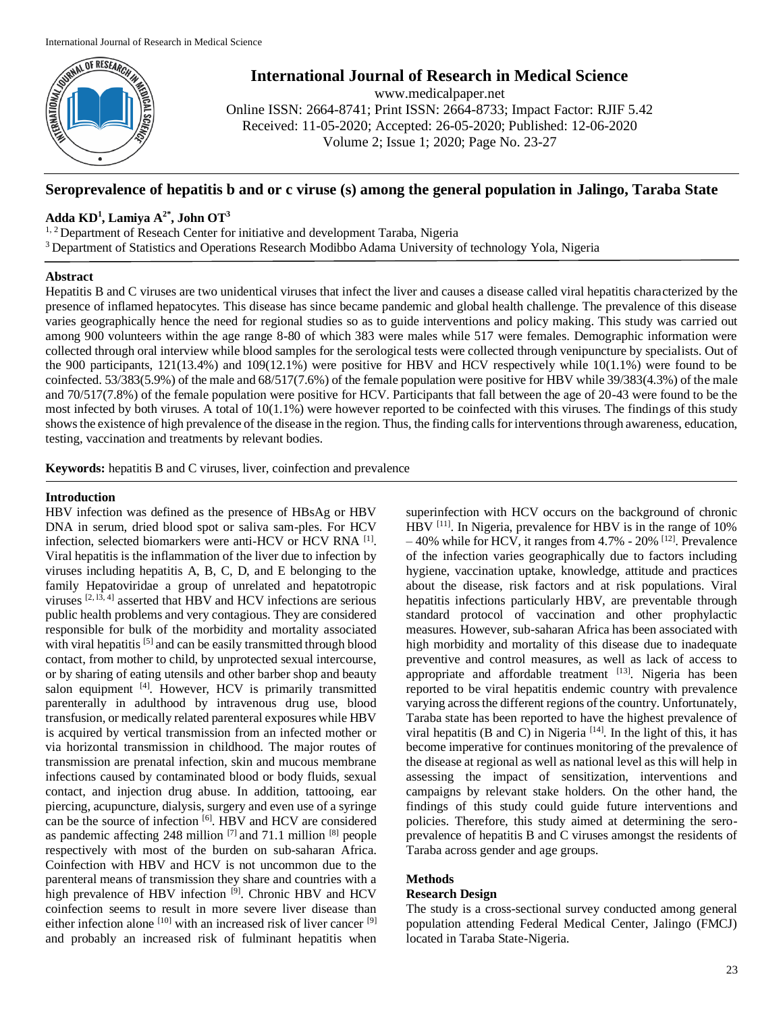

# **International Journal of Research in Medical Science**

www.medicalpaper.net Online ISSN: 2664-8741; Print ISSN: 2664-8733; Impact Factor: RJIF 5.42 Received: 11-05-2020; Accepted: 26-05-2020; Published: 12-06-2020 Volume 2; Issue 1; 2020; Page No. 23-27

# **Seroprevalence of hepatitis b and or c viruse (s) among the general population in Jalingo, Taraba State**

# **Adda KD<sup>1</sup> , Lamiya A2\*, John OT 3**

<sup>1, 2</sup> Department of Reseach Center for initiative and development Taraba, Nigeria

<sup>3</sup> Department of Statistics and Operations Research Modibbo Adama University of technology Yola, Nigeria

# **Abstract**

Hepatitis B and C viruses are two unidentical viruses that infect the liver and causes a disease called viral hepatitis characterized by the presence of inflamed hepatocytes. This disease has since became pandemic and global health challenge. The prevalence of this disease varies geographically hence the need for regional studies so as to guide interventions and policy making. This study was carried out among 900 volunteers within the age range 8-80 of which 383 were males while 517 were females. Demographic information were collected through oral interview while blood samples for the serological tests were collected through venipuncture by specialists. Out of the 900 participants, 121(13.4%) and 109(12.1%) were positive for HBV and HCV respectively while 10(1.1%) were found to be coinfected. 53/383(5.9%) of the male and 68/517(7.6%) of the female population were positive for HBV while 39/383(4.3%) of the male and 70/517(7.8%) of the female population were positive for HCV. Participants that fall between the age of 20-43 were found to be the most infected by both viruses. A total of 10(1.1%) were however reported to be coinfected with this viruses. The findings of this study shows the existence of high prevalence of the disease in the region. Thus, the finding calls for interventions through awareness, education, testing, vaccination and treatments by relevant bodies.

**Keywords:** hepatitis B and C viruses, liver, coinfection and prevalence

## **Introduction**

HBV infection was defined as the presence of HBsAg or HBV DNA in serum, dried blood spot or saliva sam-ples. For HCV infection, selected biomarkers were anti-HCV or HCV RNA<sup>[1]</sup>. Viral hepatitis is the inflammation of the liver due to infection by viruses including hepatitis A, B, C, D, and E belonging to the family Hepatoviridae a group of unrelated and hepatotropic viruses  $[2, 13, 4]$  asserted that HBV and HCV infections are serious public health problems and very contagious. They are considered responsible for bulk of the morbidity and mortality associated with viral hepatitis <sup>[5]</sup> and can be easily transmitted through blood contact, from mother to child, by unprotected sexual intercourse, or by sharing of eating utensils and other barber shop and beauty salon equipment [4]. However, HCV is primarily transmitted parenterally in adulthood by intravenous drug use, blood transfusion, or medically related parenteral exposures while HBV is acquired by vertical transmission from an infected mother or via horizontal transmission in childhood. The major routes of transmission are prenatal infection, skin and mucous membrane infections caused by contaminated blood or body fluids, sexual contact, and injection drug abuse. In addition, tattooing, ear piercing, acupuncture, dialysis, surgery and even use of a syringe can be the source of infection [6]. HBV and HCV are considered as pandemic affecting 248 million  $^{[7]}$  and 71.1 million  $^{[8]}$  people respectively with most of the burden on sub-saharan Africa. Coinfection with HBV and HCV is not uncommon due to the parenteral means of transmission they share and countries with a high prevalence of HBV infection <sup>[9]</sup>. Chronic HBV and HCV coinfection seems to result in more severe liver disease than either infection alone  $[10]$  with an increased risk of liver cancer  $[9]$ and probably an increased risk of fulminant hepatitis when

superinfection with HCV occurs on the background of chronic HBV <sup>[11]</sup>. In Nigeria, prevalence for HBV is in the range of 10%  $-40\%$  while for HCV, it ranges from 4.7% - 20% <sup>[12]</sup>. Prevalence of the infection varies geographically due to factors including hygiene, vaccination uptake, knowledge, attitude and practices about the disease, risk factors and at risk populations. Viral hepatitis infections particularly HBV, are preventable through standard protocol of vaccination and other prophylactic measures. However, sub-saharan Africa has been associated with high morbidity and mortality of this disease due to inadequate preventive and control measures, as well as lack of access to appropriate and affordable treatment [13]. Nigeria has been reported to be viral hepatitis endemic country with prevalence varying across the different regions of the country. Unfortunately, Taraba state has been reported to have the highest prevalence of viral hepatitis (B and C) in Nigeria  $[14]$ . In the light of this, it has become imperative for continues monitoring of the prevalence of the disease at regional as well as national level as this will help in assessing the impact of sensitization, interventions and campaigns by relevant stake holders. On the other hand, the findings of this study could guide future interventions and policies. Therefore, this study aimed at determining the seroprevalence of hepatitis B and C viruses amongst the residents of Taraba across gender and age groups.

## **Methods**

# **Research Design**

The study is a cross-sectional survey conducted among general population attending Federal Medical Center, Jalingo (FMCJ) located in Taraba State-Nigeria.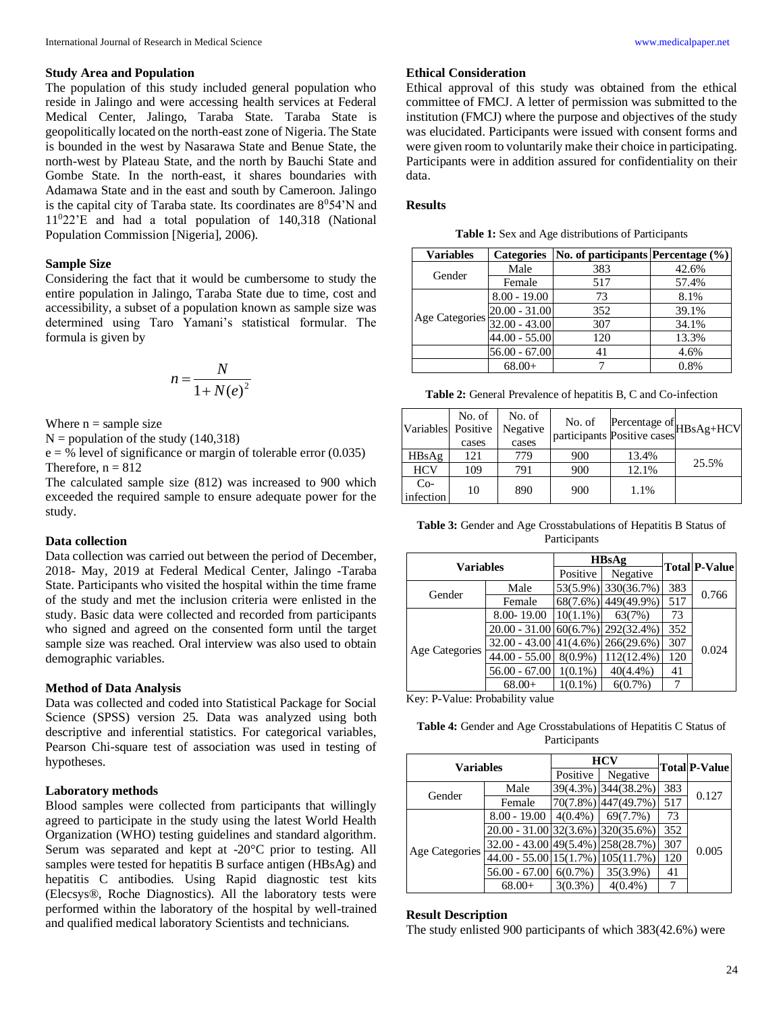### **Study Area and Population**

The population of this study included general population who reside in Jalingo and were accessing health services at Federal Medical Center, Jalingo, Taraba State. Taraba State is geopolitically located on the north-east zone of Nigeria. The State is bounded in the west by Nasarawa State and Benue State, the north-west by Plateau State, and the north by Bauchi State and Gombe State. In the north-east, it shares boundaries with Adamawa State and in the east and south by Cameroon. Jalingo is the capital city of Taraba state. Its coordinates are  $8^054'N$  and 11<sup>0</sup>22'E and had a total population of 140,318 (National Population Commission [Nigeria], 2006).

#### **Sample Size**

Considering the fact that it would be cumbersome to study the entire population in Jalingo, Taraba State due to time, cost and accessibility, a subset of a population known as sample size was determined using Taro Yamani's statistical formular. The formula is given by

$$
n = \frac{N}{1 + N(e)^2}
$$

Where  $n =$  sample size

 $N =$  population of the study (140,318)

 $e = %$  level of significance or margin of tolerable error (0.035) Therefore,  $n = 812$ 

The calculated sample size (812) was increased to 900 which exceeded the required sample to ensure adequate power for the study.

### **Data collection**

Data collection was carried out between the period of December, 2018- May, 2019 at Federal Medical Center, Jalingo -Taraba State. Participants who visited the hospital within the time frame of the study and met the inclusion criteria were enlisted in the study. Basic data were collected and recorded from participants who signed and agreed on the consented form until the target sample size was reached. Oral interview was also used to obtain demographic variables.

#### **Method of Data Analysis**

Data was collected and coded into Statistical Package for Social Science (SPSS) version 25. Data was analyzed using both descriptive and inferential statistics. For categorical variables, Pearson Chi-square test of association was used in testing of hypotheses.

### **Laboratory methods**

Blood samples were collected from participants that willingly agreed to participate in the study using the latest World Health Organization (WHO) testing guidelines and standard algorithm. Serum was separated and kept at -20°C prior to testing. All samples were tested for hepatitis B surface antigen (HBsAg) and hepatitis C antibodies. Using Rapid diagnostic test kits (Elecsys®, Roche Diagnostics). All the laboratory tests were performed within the laboratory of the hospital by well-trained and qualified medical laboratory Scientists and technicians.

#### **Ethical Consideration**

Ethical approval of this study was obtained from the ethical committee of FMCJ. A letter of permission was submitted to the institution (FMCJ) where the purpose and objectives of the study was elucidated. Participants were issued with consent forms and were given room to voluntarily make their choice in participating. Participants were in addition assured for confidentiality on their data.

#### **Results**

| Table 1: Sex and Age distributions of Participants |  |  |
|----------------------------------------------------|--|--|
|----------------------------------------------------|--|--|

| <b>Variables</b> | <b>Categories</b> | No. of participants Percentage (%) |       |
|------------------|-------------------|------------------------------------|-------|
| Gender           | Male              | 383                                | 42.6% |
|                  | Female            | 517                                | 57.4% |
| Age Categories   | $8.00 - 19.00$    | 73                                 | 8.1%  |
|                  | $20.00 - 31.00$   | 352                                | 39.1% |
|                  | $32.00 - 43.00$   | 307                                | 34.1% |
|                  | $44.00 - 55.00$   | 120                                | 13.3% |
|                  | $56.00 - 67.00$   | 41                                 | 4.6%  |
|                  | $68.00+$          |                                    | 0.8%  |

**Table 2:** General Prevalence of hepatitis B, C and Co-infection

| Variables Positive | No. of<br>cases | No. of<br>Negative<br>cases |     |       | No. of Percentage of<br>participants Positive cases |
|--------------------|-----------------|-----------------------------|-----|-------|-----------------------------------------------------|
| HBsAg              | 121             | 779                         | 900 | 13.4% | 25.5%                                               |
| <b>HCV</b>         | 109             | 791                         | 900 | 12.1% |                                                     |
| $Co-$<br>infection | 10              | 890                         | 900 | 1.1%  |                                                     |

Table 3: Gender and Age Crosstabulations of Hepatitis B Status of Participants

| Variables             |                                         | <b>HBsAg</b> |                     |     | <b>Total P-Value</b> |
|-----------------------|-----------------------------------------|--------------|---------------------|-----|----------------------|
|                       |                                         | Positive     | Negative            |     |                      |
| Gender                | Male                                    |              | 53(5.9%) 330(36.7%) | 383 | 0.766                |
|                       | Female                                  |              | 68(7.6%) 449(49.9%) | 517 |                      |
| <b>Age Categories</b> | 8.00-19.00                              | $10(1.1\%)$  | 63(7%)              | 73  |                      |
|                       | $20.00 - 31.00   60(6.7%)   292(32.4%)$ |              |                     | 352 |                      |
|                       | $32.00 - 43.00  41(4.6%)  266(29.6%)$   |              |                     | 307 | 0.024                |
|                       | $44.00 - 55.00$                         | $8(0.9\%)$   | $112(12.4\%)$       | 120 |                      |
|                       | $56.00 - 67.00$                         | $1(0.1\%)$   | 40(4.4%             | 41  |                      |
|                       | $68.00+$                                | $1(0.1\%)$   | $6(0.7\%)$          | 7   |                      |

Key: P-Value: Probability value

Table 4: Gender and Age Crosstabulations of Hepatitis C Status of Participants

| Variables             |                                                 | <b>HCV</b> |                     |     | <b>Total P-Value</b> |
|-----------------------|-------------------------------------------------|------------|---------------------|-----|----------------------|
|                       |                                                 | Positive   | Negative            |     |                      |
| Gender                | Male                                            |            | 39(4.3%) 344(38.2%) | 383 | 0.127                |
|                       | Female                                          |            | 70(7.8%) 447(49.7%) | 517 |                      |
| <b>Age Categories</b> | $8.00 - 19.00$                                  | $4(0.4\%)$ | 69(7.7%)            | 73  |                      |
|                       | $20.00 - 31.00 \mid 32(3.6\%) \mid 320(35.6\%)$ |            |                     | 352 |                      |
|                       | $32.00 - 43.00  49(5.4\%) 258(28.7\%)$          |            |                     | 307 | 0.005                |
|                       | $44.00 - 55.00 \mid 15(1.7\%) \mid 105(11.7\%)$ |            |                     | 120 |                      |
|                       | $56.00 - 67.00$                                 | $6(0.7\%)$ | $35(3.9\%)$         | 41  |                      |
|                       | $68.00+$                                        | $3(0.3\%)$ | $4(0.4\%)$          |     |                      |

#### **Result Description**

The study enlisted 900 participants of which 383(42.6%) were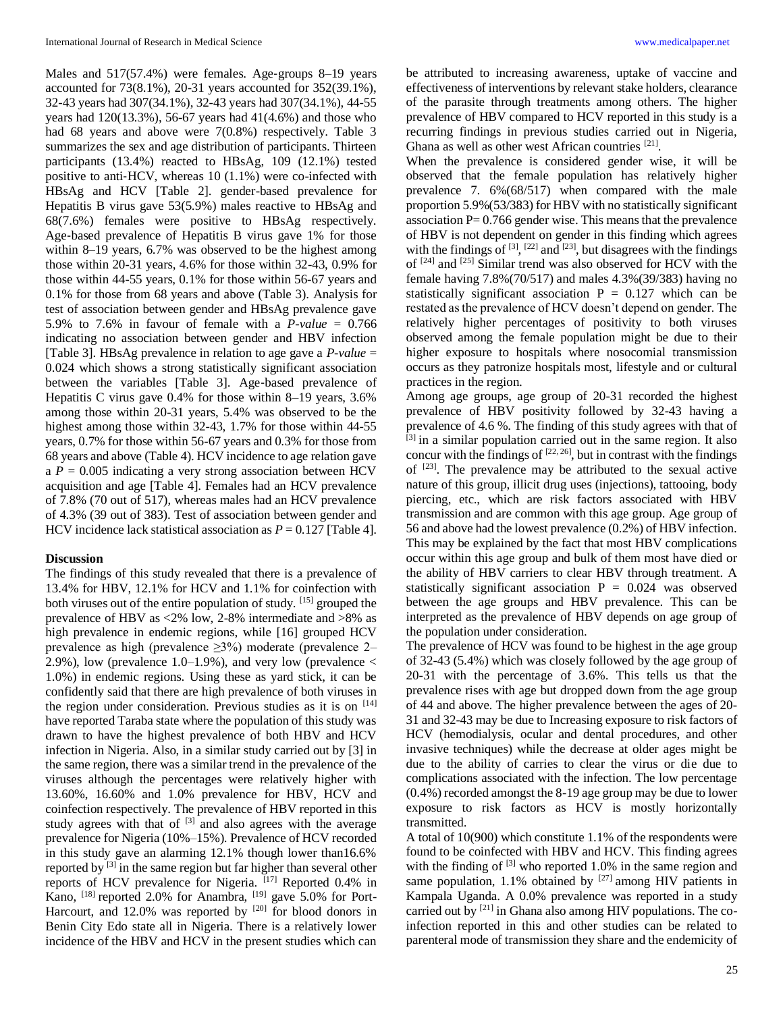Males and 517(57.4%) were females. Age-groups 8–19 years accounted for 73(8.1%), 20-31 years accounted for 352(39.1%), 32-43 years had 307(34.1%), 32-43 years had 307(34.1%), 44-55 years had 120(13.3%), 56-67 years had 41(4.6%) and those who had 68 years and above were 7(0.8%) respectively. Table 3 summarizes the sex and age distribution of participants. Thirteen participants (13.4%) reacted to HBsAg, 109 (12.1%) tested positive to anti-HCV, whereas  $10(1.1%)$  were co-infected with HBsAg and HCV [Table 2]. gender-based prevalence for Hepatitis B virus gave 53(5.9%) males reactive to HBsAg and 68(7.6%) females were positive to HBsAg respectively. Age-based prevalence of Hepatitis B virus gave 1% for those within 8–19 years, 6.7% was observed to be the highest among those within 20-31 years, 4.6% for those within 32-43, 0.9% for those within 44-55 years, 0.1% for those within 56-67 years and 0.1% for those from 68 years and above (Table 3). Analysis for test of association between gender and HBsAg prevalence gave 5.9% to 7.6% in favour of female with a *P-value* = 0.766 indicating no association between gender and HBV infection [Table 3]. HBsAg prevalence in relation to age gave a *P-value* = 0.024 which shows a strong statistically significant association between the variables [Table 3]. Age-based prevalence of Hepatitis C virus gave 0.4% for those within 8–19 years, 3.6% among those within 20-31 years, 5.4% was observed to be the highest among those within 32-43, 1.7% for those within 44-55 years, 0.7% for those within 56-67 years and 0.3% for those from 68 years and above (Table 4). HCV incidence to age relation gave a  $P = 0.005$  indicating a very strong association between HCV acquisition and age [Table 4]. Females had an HCV prevalence of 7.8% (70 out of 517), whereas males had an HCV prevalence of 4.3% (39 out of 383). Test of association between gender and HCV incidence lack statistical association as  $P = 0.127$  [Table 4].

#### **Discussion**

The findings of this study revealed that there is a prevalence of 13.4% for HBV, 12.1% for HCV and 1.1% for coinfection with both viruses out of the entire population of study. [15] grouped the prevalence of HBV as <2% low, 2-8% intermediate and >8% as high prevalence in endemic regions, while [16] grouped HCV prevalence as high (prevalence ≥3%) moderate (prevalence 2– 2.9%), low (prevalence  $1.0-1.9%$ ), and very low (prevalence  $\lt$ 1.0%) in endemic regions. Using these as yard stick, it can be confidently said that there are high prevalence of both viruses in the region under consideration. Previous studies as it is on  $[14]$ have reported Taraba state where the population of this study was drawn to have the highest prevalence of both HBV and HCV infection in Nigeria. Also, in a similar study carried out by [3] in the same region, there was a similar trend in the prevalence of the viruses although the percentages were relatively higher with 13.60%, 16.60% and 1.0% prevalence for HBV, HCV and coinfection respectively. The prevalence of HBV reported in this study agrees with that of  $[3]$  and also agrees with the average prevalence for Nigeria (10%–15%). Prevalence of HCV recorded in this study gave an alarming 12.1% though lower than16.6% reported by [3] in the same region but far higher than several other reports of HCV prevalence for Nigeria. [17] Reported 0.4% in Kano,  $^{[18]}$  reported 2.0% for Anambra,  $^{[19]}$  gave 5.0% for Port-Harcourt, and 12.0% was reported by <sup>[20]</sup> for blood donors in Benin City Edo state all in Nigeria. There is a relatively lower incidence of the HBV and HCV in the present studies which can be attributed to increasing awareness, uptake of vaccine and effectiveness of interventions by relevant stake holders, clearance of the parasite through treatments among others. The higher prevalence of HBV compared to HCV reported in this study is a recurring findings in previous studies carried out in Nigeria, Ghana as well as other west African countries [21].

When the prevalence is considered gender wise, it will be observed that the female population has relatively higher prevalence 7. 6%(68/517) when compared with the male proportion 5.9%(53/383) for HBV with no statistically significant association  $P = 0.766$  gender wise. This means that the prevalence of HBV is not dependent on gender in this finding which agrees with the findings of  $[3]$ ,  $[22]$  and  $[23]$ , but disagrees with the findings of <sup>[24]</sup> and <sup>[25]</sup> Similar trend was also observed for HCV with the female having 7.8%(70/517) and males 4.3%(39/383) having no statistically significant association  $P = 0.127$  which can be restated as the prevalence of HCV doesn't depend on gender. The relatively higher percentages of positivity to both viruses observed among the female population might be due to their higher exposure to hospitals where nosocomial transmission occurs as they patronize hospitals most, lifestyle and or cultural practices in the region.

Among age groups, age group of 20-31 recorded the highest prevalence of HBV positivity followed by 32-43 having a prevalence of 4.6 %. The finding of this study agrees with that of [3] in a similar population carried out in the same region. It also concur with the findings of  $[22, 26]$ , but in contrast with the findings of  $[23]$ . The prevalence may be attributed to the sexual active nature of this group, illicit drug uses (injections), tattooing, body piercing, etc., which are risk factors associated with HBV transmission and are common with this age group. Age group of 56 and above had the lowest prevalence (0.2%) of HBV infection. This may be explained by the fact that most HBV complications occur within this age group and bulk of them most have died or the ability of HBV carriers to clear HBV through treatment. A statistically significant association  $P = 0.024$  was observed between the age groups and HBV prevalence. This can be interpreted as the prevalence of HBV depends on age group of the population under consideration.

The prevalence of HCV was found to be highest in the age group of 32-43 (5.4%) which was closely followed by the age group of 20-31 with the percentage of 3.6%. This tells us that the prevalence rises with age but dropped down from the age group of 44 and above. The higher prevalence between the ages of 20- 31 and 32-43 may be due to Increasing exposure to risk factors of HCV (hemodialysis, ocular and dental procedures, and other invasive techniques) while the decrease at older ages might be due to the ability of carries to clear the virus or die due to complications associated with the infection. The low percentage (0.4%) recorded amongst the 8-19 age group may be due to lower exposure to risk factors as HCV is mostly horizontally transmitted.

A total of 10(900) which constitute 1.1% of the respondents were found to be coinfected with HBV and HCV. This finding agrees with the finding of  $[3]$  who reported 1.0% in the same region and same population,  $1.1\%$  obtained by  $[27]$  among HIV patients in Kampala Uganda. A 0.0% prevalence was reported in a study carried out by  $[21]$  in Ghana also among HIV populations. The coinfection reported in this and other studies can be related to parenteral mode of transmission they share and the endemicity of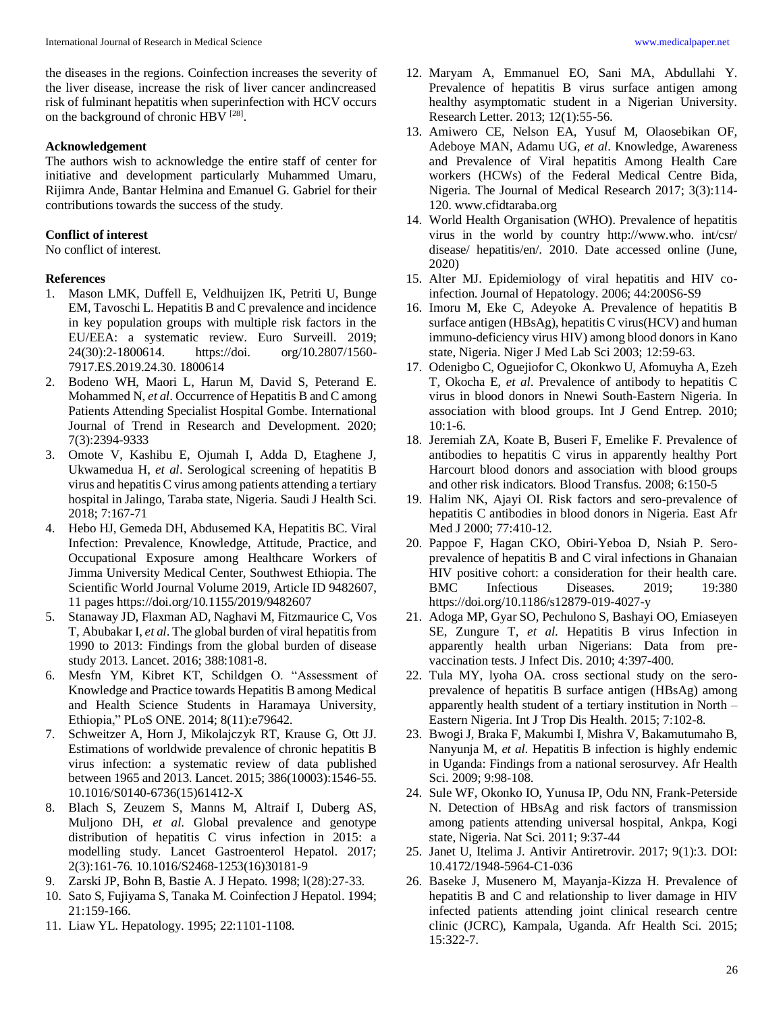the diseases in the regions. Coinfection increases the severity of the liver disease, increase the risk of liver cancer andincreased risk of fulminant hepatitis when superinfection with HCV occurs on the background of chronic HBV<sup>[28]</sup>.

### **Acknowledgement**

The authors wish to acknowledge the entire staff of center for initiative and development particularly Muhammed Umaru, Rijimra Ande, Bantar Helmina and Emanuel G. Gabriel for their contributions towards the success of the study.

### **Conflict of interest**

No conflict of interest.

### **References**

- 1. Mason LMK, Duffell E, Veldhuijzen IK, Petriti U, Bunge EM, Tavoschi L. Hepatitis B and C prevalence and incidence in key population groups with multiple risk factors in the EU/EEA: a systematic review. Euro Surveill. 2019; 24(30):2-1800614. https://doi. org/10.2807/1560- 7917.ES.2019.24.30. 1800614
- 2. Bodeno WH, Maori L, Harun M, David S, Peterand E. Mohammed N, *et al*. Occurrence of Hepatitis B and C among Patients Attending Specialist Hospital Gombe. International Journal of Trend in Research and Development. 2020; 7(3):2394-9333
- 3. Omote V, Kashibu E, Ojumah I, Adda D, Etaghene J, Ukwamedua H, *et al*. Serological screening of hepatitis B virus and hepatitis C virus among patients attending a tertiary hospital in Jalingo, Taraba state, Nigeria. Saudi J Health Sci. 2018; 7:167-71
- 4. Hebo HJ, Gemeda DH, Abdusemed KA, Hepatitis BC. Viral Infection: Prevalence, Knowledge, Attitude, Practice, and Occupational Exposure among Healthcare Workers of Jimma University Medical Center, Southwest Ethiopia. The Scientific World Journal Volume 2019, Article ID 9482607, 11 pages https://doi.org/10.1155/2019/9482607
- 5. Stanaway JD, Flaxman AD, Naghavi M, Fitzmaurice C, Vos T, Abubakar I, *et al*. The global burden of viral hepatitis from 1990 to 2013: Findings from the global burden of disease study 2013. Lancet. 2016; 388:1081-8.
- 6. Mesfn YM, Kibret KT, Schildgen O. "Assessment of Knowledge and Practice towards Hepatitis B among Medical and Health Science Students in Haramaya University, Ethiopia," PLoS ONE. 2014; 8(11):e79642.
- 7. Schweitzer A, Horn J, Mikolajczyk RT, Krause G, Ott JJ. Estimations of worldwide prevalence of chronic hepatitis B virus infection: a systematic review of data published between 1965 and 2013. Lancet. 2015; 386(10003):1546-55. 10.1016/S0140-6736(15)61412-X
- 8. Blach S, Zeuzem S, Manns M, Altraif I, Duberg AS, Muljono DH, *et al*. Global prevalence and genotype distribution of hepatitis C virus infection in 2015: a modelling study. Lancet Gastroenterol Hepatol. 2017; 2(3):161-76. 10.1016/S2468-1253(16)30181-9
- 9. Zarski JP, Bohn B, Bastie A. J Hepato. 1998; l(28):27-33.
- 10. Sato S, Fujiyama S, Tanaka M. Coinfection J Hepatol. 1994; 21:159-166.
- 11. Liaw YL. Hepatology. 1995; 22:1101-1108.
- 12. Maryam A, Emmanuel EO, Sani MA, Abdullahi Y. Prevalence of hepatitis B virus surface antigen among healthy asymptomatic student in a Nigerian University. Research Letter. 2013; 12(1):55-56.
- 13. Amiwero CE, Nelson EA, Yusuf M, Olaosebikan OF, Adeboye MAN, Adamu UG, *et al*. Knowledge, Awareness and Prevalence of Viral hepatitis Among Health Care workers (HCWs) of the Federal Medical Centre Bida, Nigeria. The Journal of Medical Research 2017; 3(3):114- 120. www.cfidtaraba.org
- 14. World Health Organisation (WHO). Prevalence of hepatitis virus in the world by country http://www.who. int/csr/ disease/ hepatitis/en/. 2010. Date accessed online (June, 2020)
- 15. Alter MJ. Epidemiology of viral hepatitis and HIV coinfection. Journal of Hepatology. 2006; 44:200S6-S9
- 16. Imoru M, Eke C, Adeyoke A. Prevalence of hepatitis B surface antigen (HBsAg), hepatitis C virus(HCV) and human immuno-deficiency virus HIV) among blood donors in Kano state, Nigeria. Niger J Med Lab Sci 2003; 12:59-63.
- 17. Odenigbo C, Oguejiofor C, Okonkwo U, Afomuyha A, Ezeh T, Okocha E, *et al*. Prevalence of antibody to hepatitis C virus in blood donors in Nnewi South-Eastern Nigeria. In association with blood groups. Int J Gend Entrep. 2010; 10:1-6.
- 18. Jeremiah ZA, Koate B, Buseri F, Emelike F. Prevalence of antibodies to hepatitis C virus in apparently healthy Port Harcourt blood donors and association with blood groups and other risk indicators. Blood Transfus. 2008; 6:150-5
- 19. Halim NK, Ajayi OI. Risk factors and sero-prevalence of hepatitis C antibodies in blood donors in Nigeria. East Afr Med J 2000; 77:410-12.
- 20. Pappoe F, Hagan CKO, Obiri-Yeboa D, Nsiah P. Seroprevalence of hepatitis B and C viral infections in Ghanaian HIV positive cohort: a consideration for their health care. BMC Infectious Diseases. 2019; 19:380 https://doi.org/10.1186/s12879-019-4027-y
- 21. Adoga MP, Gyar SO, Pechulono S, Bashayi OO, Emiaseyen SE, Zungure T*, et al*. Hepatitis B virus Infection in apparently health urban Nigerians: Data from prevaccination tests. J Infect Dis. 2010; 4:397-400.
- 22. Tula MY, lyoha OA. cross sectional study on the seroprevalence of hepatitis B surface antigen (HBsAg) among apparently health student of a tertiary institution in North – Eastern Nigeria. Int J Trop Dis Health. 2015; 7:102-8.
- 23. Bwogi J, Braka F, Makumbi I, Mishra V, Bakamutumaho B, Nanyunja M, *et al*. Hepatitis B infection is highly endemic in Uganda: Findings from a national serosurvey. Afr Health Sci. 2009; 9:98-108.
- 24. Sule WF, Okonko IO, Yunusa IP, Odu NN, Frank-Peterside N. Detection of HBsAg and risk factors of transmission among patients attending universal hospital, Ankpa, Kogi state, Nigeria. Nat Sci. 2011; 9:37-44
- 25. Janet U, Itelima J. Antivir Antiretrovir. 2017; 9(1):3. DOI: 10.4172/1948-5964-C1-036
- 26. Baseke J, Musenero M, Mayanja-Kizza H. Prevalence of hepatitis B and C and relationship to liver damage in HIV infected patients attending joint clinical research centre clinic (JCRC), Kampala, Uganda. Afr Health Sci. 2015; 15:322-7.